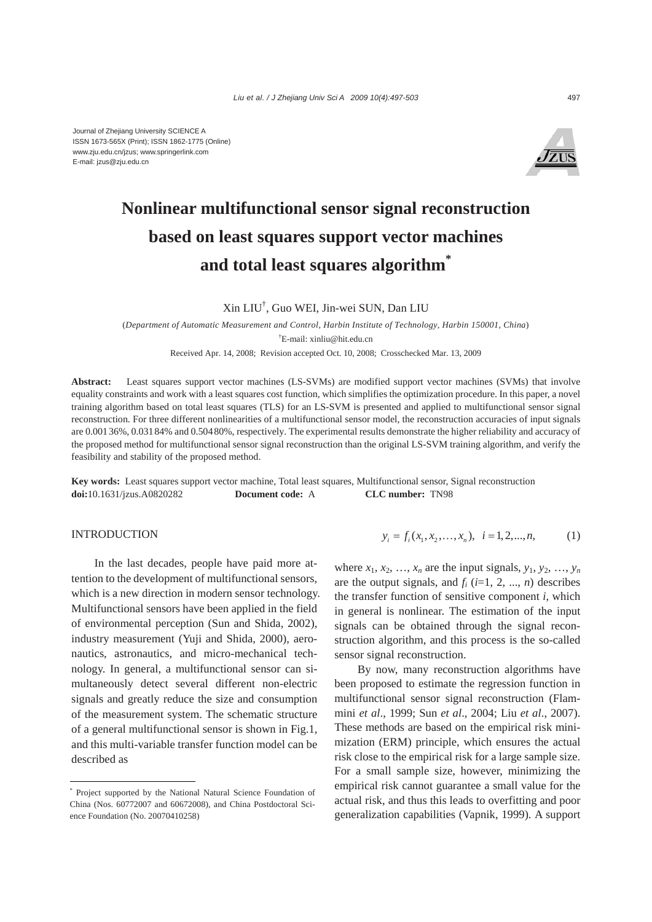Journal of Zhejiang University SCIENCE A ISSN 1673-565X (Print); ISSN 1862-1775 (Online) www.zju.edu.cn/jzus; www.springerlink.com E-mail: jzus@zju.edu.cn



# **Nonlinear multifunctional sensor signal reconstruction based on least squares support vector machines and total least squares algorithm\***

Xin LIU† , Guo WEI, Jin-wei SUN, Dan LIU

(*Department of Automatic Measurement and Control, Harbin Institute of Technology, Harbin 150001, China*) † E-mail: xinliu@hit.edu.cn

Received Apr. 14, 2008; Revision accepted Oct. 10, 2008; Crosschecked Mar. 13, 2009

Abstract: Least squares support vector machines (LS-SVMs) are modified support vector machines (SVMs) that involve equality constraints and work with a least squares cost function, which simplifies the optimization procedure. In this paper, a novel training algorithm based on total least squares (TLS) for an LS-SVM is presented and applied to multifunctional sensor signal reconstruction. For three different nonlinearities of a multifunctional sensor model, the reconstruction accuracies of input signals are 0.00136%, 0.03184% and 0.50480%, respectively. The experimental results demonstrate the higher reliability and accuracy of the proposed method for multifunctional sensor signal reconstruction than the original LS-SVM training algorithm, and verify the feasibility and stability of the proposed method.

**Key words:** Least squares support vector machine, Total least squares, Multifunctional sensor, Signal reconstruction **doi:**10.1631/jzus.A0820282 **Document code:** A **CLC number:** TN98

# **INTRODUCTION**

In the last decades, people have paid more attention to the development of multifunctional sensors, which is a new direction in modern sensor technology. Multifunctional sensors have been applied in the field of environmental perception (Sun and Shida, 2002), industry measurement (Yuji and Shida, 2000), aeronautics, astronautics, and micro-mechanical technology. In general, a multifunctional sensor can simultaneously detect several different non-electric signals and greatly reduce the size and consumption of the measurement system. The schematic structure of a general multifunctional sensor is shown in Fig.1, and this multi-variable transfer function model can be described as

$$
y_i = f_i(x_1, x_2, \dots, x_n), \quad i = 1, 2, \dots, n,
$$
 (1)

where  $x_1, x_2, \ldots, x_n$  are the input signals,  $y_1, y_2, \ldots, y_n$ are the output signals, and  $f_i$  ( $i=1, 2, ..., n$ ) describes the transfer function of sensitive component *i*, which in general is nonlinear. The estimation of the input signals can be obtained through the signal reconstruction algorithm, and this process is the so-called sensor signal reconstruction.

By now, many reconstruction algorithms have been proposed to estimate the regression function in multifunctional sensor signal reconstruction (Flammini *et al*., 1999; Sun *et al*., 2004; Liu *et al*., 2007). These methods are based on the empirical risk minimization (ERM) principle, which ensures the actual risk close to the empirical risk for a large sample size. For a small sample size, however, minimizing the empirical risk cannot guarantee a small value for the actual risk, and thus this leads to overfitting and poor generalization capabilities (Vapnik, 1999). A support

<sup>\*</sup> Project supported by the National Natural Science Foundation of China (Nos. 60772007 and 60672008), and China Postdoctoral Science Foundation (No. 20070410258)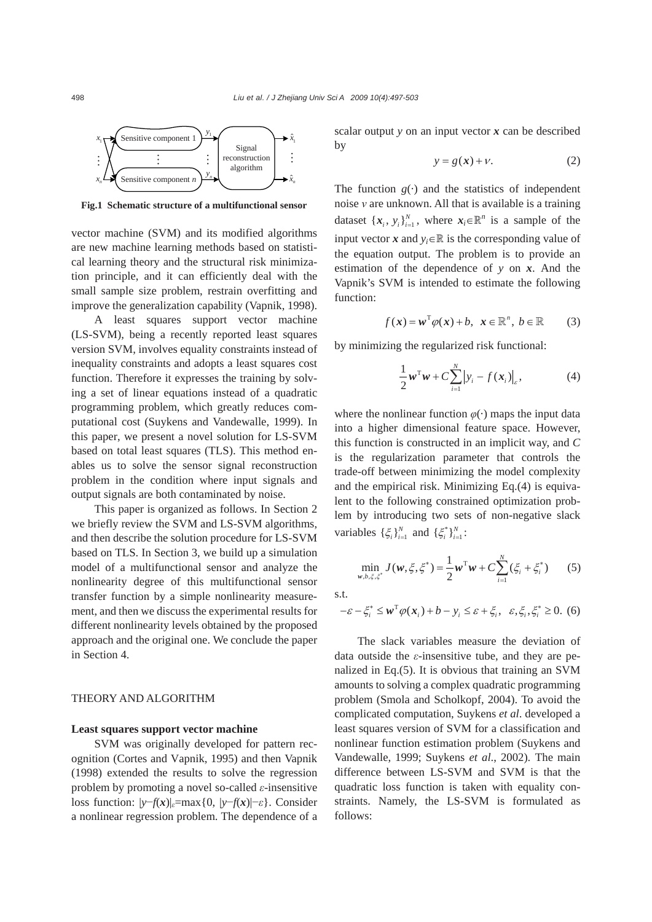

**Fig.1 Schematic structure of a multifunctional sensor**

vector machine (SVM) and its modified algorithms are new machine learning methods based on statistical learning theory and the structural risk minimization principle, and it can efficiently deal with the small sample size problem, restrain overfitting and improve the generalization capability (Vapnik, 1998).

A least squares support vector machine (LS-SVM), being a recently reported least squares version SVM, involves equality constraints instead of inequality constraints and adopts a least squares cost function. Therefore it expresses the training by solving a set of linear equations instead of a quadratic programming problem, which greatly reduces computational cost (Suykens and Vandewalle, 1999). In this paper, we present a novel solution for LS-SVM based on total least squares (TLS). This method enables us to solve the sensor signal reconstruction problem in the condition where input signals and output signals are both contaminated by noise.

This paper is organized as follows. In Section 2 we briefly review the SVM and LS-SVM algorithms, and then describe the solution procedure for LS-SVM based on TLS. In Section 3, we build up a simulation model of a multifunctional sensor and analyze the nonlinearity degree of this multifunctional sensor transfer function by a simple nonlinearity measurement, and then we discuss the experimental results for different nonlinearity levels obtained by the proposed approach and the original one. We conclude the paper in Section 4.

## THEORY AND ALGORITHM

# **Least squares support vector machine**

SVM was originally developed for pattern recognition (Cortes and Vapnik, 1995) and then Vapnik (1998) extended the results to solve the regression problem by promoting a novel so-called *ε*-insensitive loss function:  $|y-f(x)|_{\varepsilon} = \max\{0, |y-f(x)|-\varepsilon\}$ . Consider a nonlinear regression problem. The dependence of a

scalar output *y* on an input vector *x* can be described by

$$
y = g(x) + v.
$$
 (2)

The function  $g(\cdot)$  and the statistics of independent noise *ν* are unknown. All that is available is a training dataset  $\{x_i, y_i\}_{i=1}^N$ , where  $x_i \in \mathbb{R}^n$  is a sample of the input vector *x* and  $y_i \in \mathbb{R}$  is the corresponding value of the equation output. The problem is to provide an estimation of the dependence of *y* on *x*. And the Vapnik's SVM is intended to estimate the following function:

$$
f(\mathbf{x}) = \mathbf{w}^{\mathrm{T}} \varphi(\mathbf{x}) + b, \ \mathbf{x} \in \mathbb{R}^{n}, \ b \in \mathbb{R} \qquad (3)
$$

by minimizing the regularized risk functional:

$$
\frac{1}{2}\boldsymbol{w}^{\mathrm{T}}\boldsymbol{w} + C\sum_{i=1}^{N} \left|y_{i} - f(\boldsymbol{x}_{i})\right|_{\varepsilon}, \tag{4}
$$

where the nonlinear function  $\varphi(\cdot)$  maps the input data into a higher dimensional feature space. However, this function is constructed in an implicit way, and *C* is the regularization parameter that controls the trade-off between minimizing the model complexity and the empirical risk. Minimizing Eq.(4) is equivalent to the following constrained optimization problem by introducing two sets of non-negative slack variables  $\{\xi_i\}_{i=1}^N$  and  $\{\xi_i^*\}_{i=1}^N$ :

$$
\min_{\mathbf{w}, b, \xi, \xi^*} J(\mathbf{w}, \xi, \xi^*) = \frac{1}{2} \mathbf{w}^{\mathrm{T}} \mathbf{w} + C \sum_{i=1}^N (\xi_i + \xi_i^*) \qquad (5)
$$

s.t.

$$
-\varepsilon - \xi_i^* \le \boldsymbol{w}^{\mathrm{T}} \varphi(\boldsymbol{x}_i) + b - y_i \le \varepsilon + \xi_i, \ \varepsilon, \xi_i, \xi_i^* \ge 0. \tag{6}
$$

The slack variables measure the deviation of data outside the *ε*-insensitive tube, and they are penalized in Eq.(5). It is obvious that training an SVM amounts to solving a complex quadratic programming problem (Smola and Scholkopf, 2004). To avoid the complicated computation, Suykens *et al*. developed a least squares version of SVM for a classification and nonlinear function estimation problem (Suykens and Vandewalle, 1999; Suykens *et al*., 2002). The main difference between LS-SVM and SVM is that the quadratic loss function is taken with equality constraints. Namely, the LS-SVM is formulated as follows: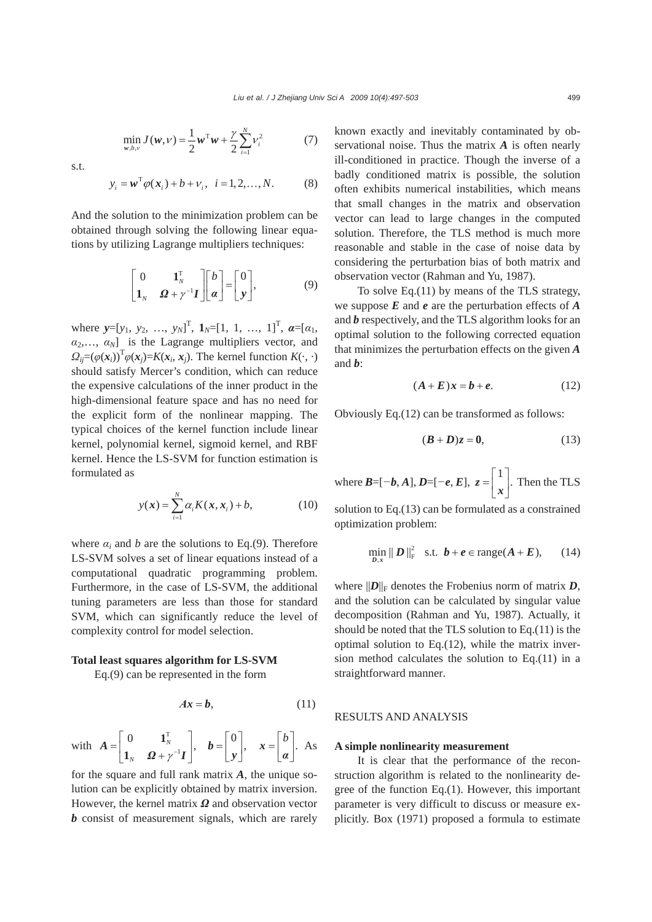$$
\min_{\mathbf{w}, b, v} J(\mathbf{w}, v) = \frac{1}{2} \mathbf{w}^{\mathrm{T}} \mathbf{w} + \frac{\gamma}{2} \sum_{i=1}^{N} v_i^2 \tag{7}
$$

s.t.

$$
y_i = \boldsymbol{w}^{\mathrm{T}} \varphi(\boldsymbol{x}_i) + b + v_i, \quad i = 1, 2, ..., N.
$$
 (8)

And the solution to the minimization problem can be obtained through solving the following linear equations by utilizing Lagrange multipliers techniques:

$$
\begin{bmatrix} 0 & \mathbf{1}_N^{\mathrm{T}} \\ \mathbf{1}_N & \mathbf{\Omega} + \gamma^{-1} \mathbf{I} \end{bmatrix} \begin{bmatrix} b \\ \mathbf{\alpha} \end{bmatrix} = \begin{bmatrix} 0 \\ \mathbf{y} \end{bmatrix}, \tag{9}
$$

where  $y=[y_1, y_2, ..., y_N]^T$ ,  $1_N=[1, 1, ..., 1]^T$ ,  $\alpha=[\alpha_1,$  $a_2, \ldots, a_N$  is the Lagrange multipliers vector, and  $Q_{ij} = (\varphi(\mathbf{x}_i))^T \varphi(\mathbf{x}_j) = K(\mathbf{x}_i, \mathbf{x}_j)$ . The kernel function  $K(\cdot, \cdot)$ should satisfy Mercer's condition, which can reduce the expensive calculations of the inner product in the high-dimensional feature space and has no need for the explicit form of the nonlinear mapping. The typical choices of the kernel function include linear kernel, polynomial kernel, sigmoid kernel, and RBF kernel. Hence the LS-SVM for function estimation is formulated as

$$
y(x) = \sum_{i=1}^{N} \alpha_i K(x, x_i) + b,
$$
 (10)

where  $\alpha_i$  and *b* are the solutions to Eq.(9). Therefore LS-SVM solves a set of linear equations instead of a computational quadratic programming problem. Furthermore, in the case of LS-SVM, the additional tuning parameters are less than those for standard SVM, which can significantly reduce the level of complexity control for model selection.

## **Total least squares algorithm for LS-SVM**

Eq.(9) can be represented in the form

$$
Ax = b,\tag{11}
$$

with T  $\left.\begin{array}{cc} 0 & \mathbf{1}_N^{\mathrm{T}} \\ \mathbf{0} & \mathbf{1}_{N}^{-1}\mathbf{I} \end{array}\right|,$  $\begin{bmatrix} 0 & \mathbf{1}_N^{\mathrm{T}} \ \mathbf{1}_N & \mathbf{\Omega} + \gamma^{-1} \mathbf{I} \end{bmatrix}$ **1** *A*  $\left[\begin{matrix} \mathbf{1}_N^{\mathrm{T}}\ \mathbf{\Omega}+\gamma^{-1}\mathbf{I} \end{matrix}\right],\quad \mathbf{b}= \left[\begin{matrix} 0\ \mathbf{y} \end{matrix}\right],\quad \mathbf{x}= \left[\begin{matrix} b\ a \end{matrix}\right].$ *α* As

for the square and full rank matrix *A*, the unique solution can be explicitly obtained by matrix inversion. However, the kernel matrix *Ω* and observation vector *b* consist of measurement signals, which are rarely known exactly and inevitably contaminated by observational noise. Thus the matrix *A* is often nearly ill-conditioned in practice. Though the inverse of a badly conditioned matrix is possible, the solution often exhibits numerical instabilities, which means that small changes in the matrix and observation vector can lead to large changes in the computed solution. Therefore, the TLS method is much more reasonable and stable in the case of noise data by considering the perturbation bias of both matrix and observation vector (Rahman and Yu, 1987).

To solve Eq.(11) by means of the TLS strategy, we suppose *E* and *e* are the perturbation effects of *A* and *b* respectively, and the TLS algorithm looks for an optimal solution to the following corrected equation that minimizes the perturbation effects on the given *A* and *b*:

$$
(A+E)x = b + e. \tag{12}
$$

Obviously Eq.(12) can be transformed as follows:

$$
(\boldsymbol{B} + \boldsymbol{D})z = 0,\tag{13}
$$

where  $B=[-b, A], D=[-e, E], z = \begin{bmatrix} 1 \\ x \end{bmatrix}$ . Then the TLS

solution to Eq.(13) can be formulated as a constrained optimization problem:

$$
\min_{D,x} \|D\|_{\mathrm{F}}^2 \quad \text{s.t.} \quad \boldsymbol{b} + \boldsymbol{e} \in \mathrm{range}(\boldsymbol{A} + \boldsymbol{E}), \qquad (14)
$$

where  $||D||_F$  denotes the Frobenius norm of matrix *D*, and the solution can be calculated by singular value decomposition (Rahman and Yu, 1987). Actually, it should be noted that the TLS solution to Eq.(11) is the optimal solution to Eq.(12), while the matrix inversion method calculates the solution to Eq.(11) in a straightforward manner.

# RESULTS AND ANALYSIS

## **A simple nonlinearity measurement**

It is clear that the performance of the reconstruction algorithm is related to the nonlinearity degree of the function Eq.(1). However, this important parameter is very difficult to discuss or measure explicitly. Box (1971) proposed a formula to estimate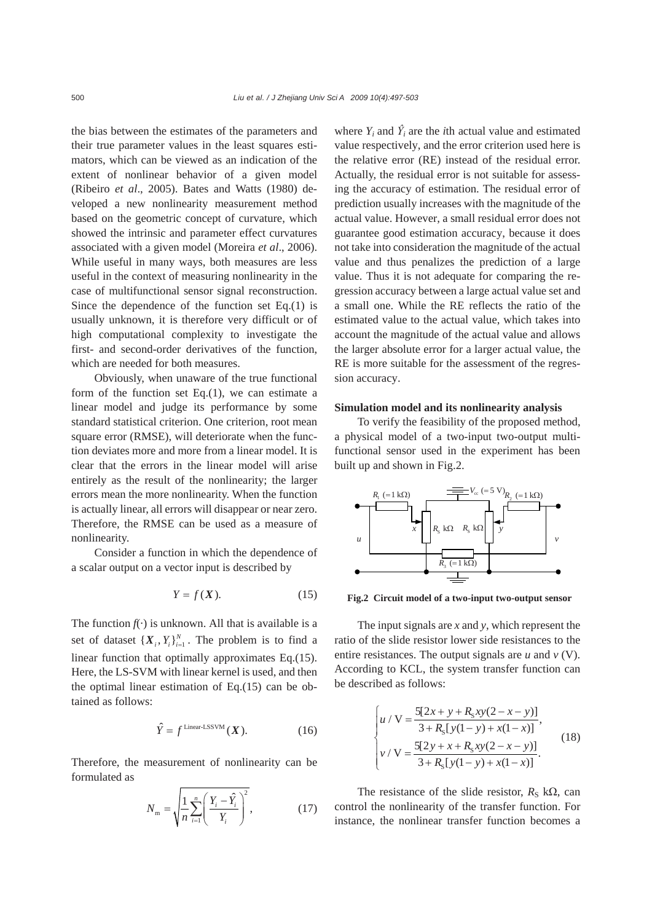the bias between the estimates of the parameters and their true parameter values in the least squares estimators, which can be viewed as an indication of the extent of nonlinear behavior of a given model (Ribeiro *et al*., 2005). Bates and Watts (1980) developed a new nonlinearity measurement method based on the geometric concept of curvature, which showed the intrinsic and parameter effect curvatures associated with a given model (Moreira *et al*., 2006). While useful in many ways, both measures are less useful in the context of measuring nonlinearity in the case of multifunctional sensor signal reconstruction. Since the dependence of the function set Eq.(1) is usually unknown, it is therefore very difficult or of high computational complexity to investigate the first- and second-order derivatives of the function, which are needed for both measures.

Obviously, when unaware of the true functional form of the function set  $Eq.(1)$ , we can estimate a linear model and judge its performance by some standard statistical criterion. One criterion, root mean square error (RMSE), will deteriorate when the function deviates more and more from a linear model. It is clear that the errors in the linear model will arise entirely as the result of the nonlinearity; the larger errors mean the more nonlinearity. When the function is actually linear, all errors will disappear or near zero. Therefore, the RMSE can be used as a measure of nonlinearity.

Consider a function in which the dependence of a scalar output on a vector input is described by

$$
Y = f(X). \tag{15}
$$

The function  $f(\cdot)$  is unknown. All that is available is a set of dataset  ${X_i, Y_i}_{i=1}^N$ . The problem is to find a linear function that optimally approximates Eq.(15). Here, the LS-SVM with linear kernel is used, and then the optimal linear estimation of Eq.(15) can be obtained as follows:

$$
\hat{Y} = f^{\text{Linear-LSSVM}}(X). \tag{16}
$$

Therefore, the measurement of nonlinearity can be formulated as

$$
N_{\rm m} = \sqrt{\frac{1}{n} \sum_{i=1}^{n} \left( \frac{Y_i - \hat{Y}_i}{Y_i} \right)^2},
$$
 (17)

where  $Y_i$  and  $\hat{Y}_i$  are the *i*th actual value and estimated value respectively, and the error criterion used here is the relative error (RE) instead of the residual error. Actually, the residual error is not suitable for assessing the accuracy of estimation. The residual error of prediction usually increases with the magnitude of the actual value. However, a small residual error does not guarantee good estimation accuracy, because it does not take into consideration the magnitude of the actual value and thus penalizes the prediction of a large value. Thus it is not adequate for comparing the regression accuracy between a large actual value set and a small one. While the RE reflects the ratio of the estimated value to the actual value, which takes into account the magnitude of the actual value and allows the larger absolute error for a larger actual value, the RE is more suitable for the assessment of the regression accuracy.

## **Simulation model and its nonlinearity analysis**

To verify the feasibility of the proposed method, a physical model of a two-input two-output multifunctional sensor used in the experiment has been built up and shown in Fig.2.



**Fig.2 Circuit model of a two-input two-output sensor**

The input signals are *x* and *y*, which represent the ratio of the slide resistor lower side resistances to the entire resistances. The output signals are *u* and *v* (V). According to KCL, the system transfer function can be described as follows:

$$
\begin{cases}\nu / \mathbf{V} = \frac{5[2x + y + R_{S}xy(2 - x - y)]}{3 + R_{S}[y(1 - y) + x(1 - x)]},\\
v / \mathbf{V} = \frac{5[2y + x + R_{S}xy(2 - x - y)]}{3 + R_{S}[y(1 - y) + x(1 - x)]}.\n\end{cases}
$$
\n(18)

The resistance of the slide resistor,  $R_S$  k $\Omega$ , can control the nonlinearity of the transfer function. For instance, the nonlinear transfer function becomes a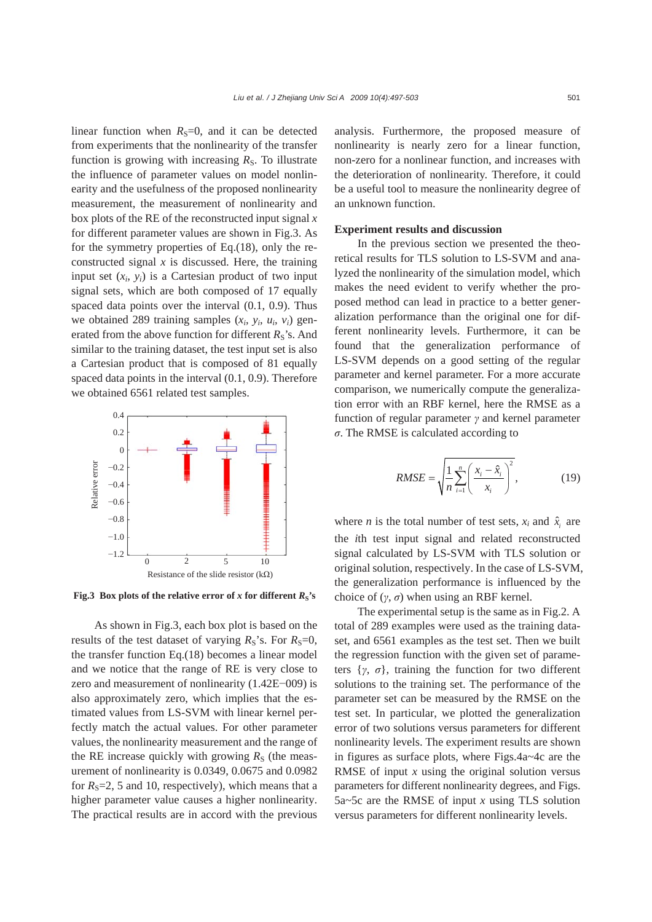linear function when  $R<sub>S</sub>=0$ , and it can be detected from experiments that the nonlinearity of the transfer function is growing with increasing  $R<sub>S</sub>$ . To illustrate the influence of parameter values on model nonlinearity and the usefulness of the proposed nonlinearity measurement, the measurement of nonlinearity and box plots of the RE of the reconstructed input signal *x*  for different parameter values are shown in Fig.3. As for the symmetry properties of Eq.(18), only the reconstructed signal  $x$  is discussed. Here, the training input set  $(x_i, y_i)$  is a Cartesian product of two input signal sets, which are both composed of 17 equally spaced data points over the interval (0.1, 0.9). Thus we obtained 289 training samples  $(x_i, y_i, u_i, v_i)$  generated from the above function for different  $R_S$ 's. And similar to the training dataset, the test input set is also a Cartesian product that is composed of 81 equally spaced data points in the interval (0.1, 0.9). Therefore we obtained 6561 related test samples.



**Fig.3** Box plots of the relative error of *x* for different  $R_s$ 's

As shown in Fig.3, each box plot is based on the results of the test dataset of varying  $R_S$ 's. For  $R_S=0$ , the transfer function Eq.(18) becomes a linear model and we notice that the range of RE is very close to zero and measurement of nonlinearity (1.42E−009) is also approximately zero, which implies that the estimated values from LS-SVM with linear kernel perfectly match the actual values. For other parameter values, the nonlinearity measurement and the range of the RE increase quickly with growing  $R<sub>S</sub>$  (the measurement of nonlinearity is 0.0349, 0.0675 and 0.0982 for  $R_s = 2$ , 5 and 10, respectively), which means that a higher parameter value causes a higher nonlinearity. The practical results are in accord with the previous

analysis. Furthermore, the proposed measure of nonlinearity is nearly zero for a linear function, non-zero for a nonlinear function, and increases with the deterioration of nonlinearity. Therefore, it could be a useful tool to measure the nonlinearity degree of an unknown function.

### **Experiment results and discussion**

In the previous section we presented the theoretical results for TLS solution to LS-SVM and analyzed the nonlinearity of the simulation model, which makes the need evident to verify whether the proposed method can lead in practice to a better generalization performance than the original one for different nonlinearity levels. Furthermore, it can be found that the generalization performance of LS-SVM depends on a good setting of the regular parameter and kernel parameter. For a more accurate comparison, we numerically compute the generalization error with an RBF kernel, here the RMSE as a function of regular parameter *γ* and kernel parameter *σ*. The RMSE is calculated according to

$$
RMSE = \sqrt{\frac{1}{n} \sum_{i=1}^{n} \left( \frac{x_i - \hat{x}_i}{x_i} \right)^2},
$$
(19)

where *n* is the total number of test sets,  $x_i$  and  $\hat{x}_i$  are the *i*th test input signal and related reconstructed signal calculated by LS-SVM with TLS solution or original solution, respectively. In the case of LS-SVM, the generalization performance is influenced by the choice of  $(\gamma, \sigma)$  when using an RBF kernel.

The experimental setup is the same as in Fig.2. A total of 289 examples were used as the training dataset, and 6561 examples as the test set. Then we built the regression function with the given set of parameters  $\{y, \sigma\}$ , training the function for two different solutions to the training set. The performance of the parameter set can be measured by the RMSE on the test set. In particular, we plotted the generalization error of two solutions versus parameters for different nonlinearity levels. The experiment results are shown in figures as surface plots, where Figs.4a~4c are the RMSE of input *x* using the original solution versus parameters for different nonlinearity degrees, and Figs. 5a~5c are the RMSE of input *x* using TLS solution versus parameters for different nonlinearity levels.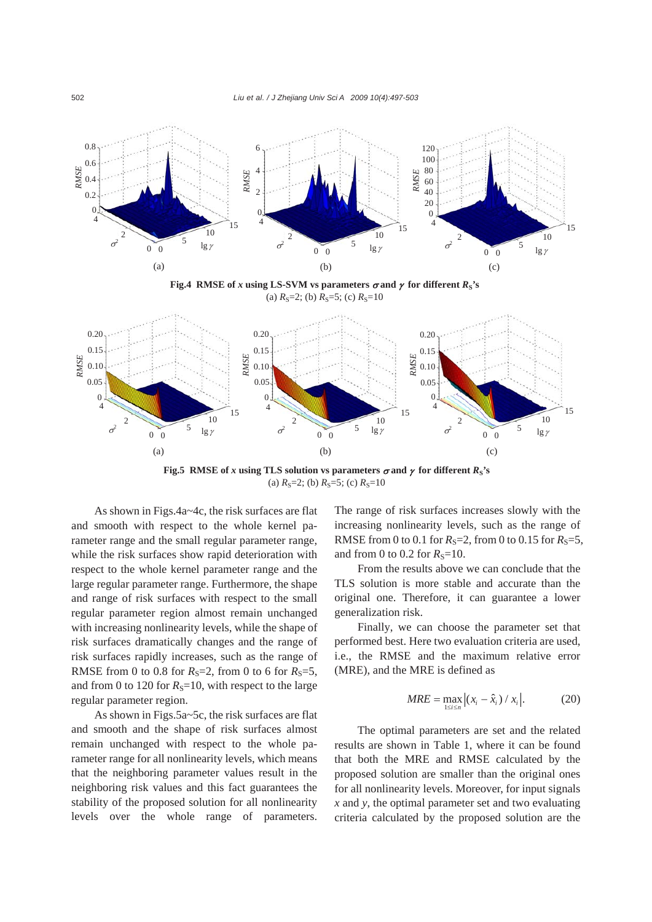

**Fig.5 RMSE** of *x* using TLS solution vs parameters  $\sigma$  and  $\gamma$  for different  $R_S$ 's (a)  $R_s$ =2; (b)  $R_s$ =5; (c)  $R_s$ =10

As shown in Figs.4a~4c, the risk surfaces are flat and smooth with respect to the whole kernel parameter range and the small regular parameter range, while the risk surfaces show rapid deterioration with respect to the whole kernel parameter range and the large regular parameter range. Furthermore, the shape and range of risk surfaces with respect to the small regular parameter region almost remain unchanged with increasing nonlinearity levels, while the shape of risk surfaces dramatically changes and the range of risk surfaces rapidly increases, such as the range of RMSE from 0 to 0.8 for  $R_s = 2$ , from 0 to 6 for  $R_s = 5$ , and from 0 to 120 for  $R<sub>S</sub>=10$ , with respect to the large regular parameter region.

As shown in Figs.5a~5c, the risk surfaces are flat and smooth and the shape of risk surfaces almost remain unchanged with respect to the whole parameter range for all nonlinearity levels, which means that the neighboring parameter values result in the neighboring risk values and this fact guarantees the stability of the proposed solution for all nonlinearity levels over the whole range of parameters. The range of risk surfaces increases slowly with the increasing nonlinearity levels, such as the range of RMSE from 0 to 0.1 for  $R_S = 2$ , from 0 to 0.15 for  $R_S = 5$ , and from 0 to 0.2 for  $R_s$ =10.

From the results above we can conclude that the TLS solution is more stable and accurate than the original one. Therefore, it can guarantee a lower generalization risk.

Finally, we can choose the parameter set that performed best. Here two evaluation criteria are used, i.e., the RMSE and the maximum relative error (MRE), and the MRE is defined as

$$
MRE = \max_{1 \le i \le n} \left| (x_i - \hat{x}_i) / x_i \right|.
$$
 (20)

The optimal parameters are set and the related results are shown in Table 1, where it can be found that both the MRE and RMSE calculated by the proposed solution are smaller than the original ones for all nonlinearity levels. Moreover, for input signals *x* and *y*, the optimal parameter set and two evaluating criteria calculated by the proposed solution are the